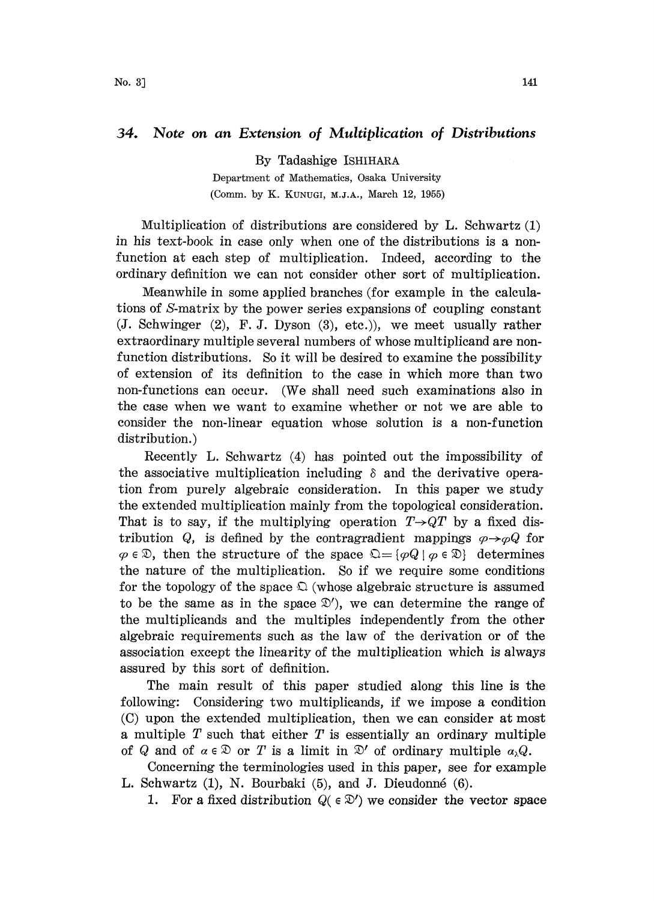## 34. Note on an Extension of Multiplication of Distributions

By Tadashige ISHIHARA

Department of Mathematics, Osaka University (Comm. by K. KUNUGI, M.J.A., March 12, 1955)

Multiplication of distributions are considered by L. Schwartz  $(1)$ in his text-book in case only when one of the distributions is a nonfunction at each step of multiplication. Indeed, according to the ordinary definition we can not consider other sort of multiplication.

Meanwhile in some applied branches (for example in the calculations of S-matrix by the power series expansions of coupling constant (J. Schwinger (2), F.J. Dyson (3), etc.)), we meet usually rather extraordinary multiple several numbers of whose multiplicand are nonfunction distributions. So it will be desired to examine the possibility of extension of its definition to the case in which more than two non-functions can occur. (We shall need such examinations also in the case when we want to examine whether or not we are able to consider the non-linear equation whose solution is a non-function distribution.)

Recently L. Schwartz (4) has pointed out the impossibility o the associative multiplication including  $\delta$  and the derivative operation from purely algebraic consideration. In this paper we study the extended multiplication mainly from the topological consideration. That is to say, if the multiplying operation  $T\rightarrow QT$  by a fixed distribution Q, is defined by the contragradient mappings  $\varphi \rightarrow \varphi Q$  for  $\varphi \in \mathcal{D}$ , then the structure of the space  $\mathcal{Q} = {\varphi Q \mid \varphi \in \mathcal{D}}$  determines the nature of the multiplication. So if we require some conditions for the topology of the space  $\Omega$  (whose algebraic structure is assumed to be the same as in the space  $\mathcal{D}'$ , we can determine the range of the multiplicands and the multiples independently from the other algebraic requirements such as the law of the derivation or of the association except the linearity of the multiplication which is always assured by this sort of definition.

The main result of this paper studied along this line is the following: Considering two multiplicands, if we impose a condition (C) upon the extended multiplication, then we can consider at most a multiple  $T$  such that either  $T$  is essentially an ordinary multiple of Q and of  $\alpha \in \mathcal{D}$  or T is a limit in  $\mathcal{D}'$  of ordinary multiple  $\alpha_{\lambda}Q$ .

and of  $a \in \mathbb{Z}$  or T is a limit in  $\mathbb{Z}$  or ordinary multiple  $a_{\lambda} \mathbb{Z}$ .<br>Concerning the terminologies used in this paper, see for example L. Schwartz (1), N. Bourbaki (5), and J. Dieudonn6 (6).

1. For a fixed distribution  $Q(\epsilon \mathfrak{D}')$  we consider the vector space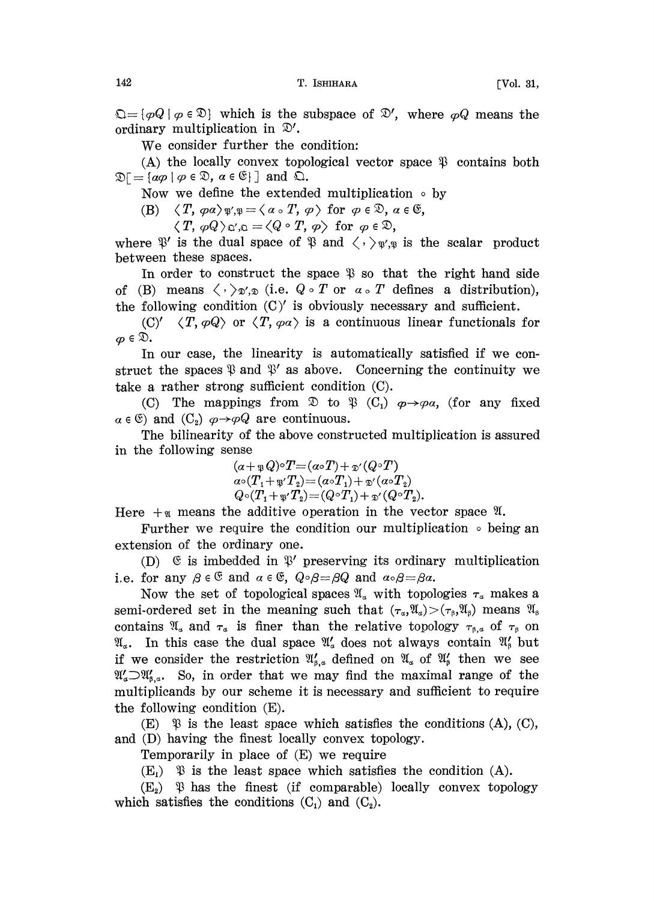$\mathfrak{Q} = \{\varphi \mid \varphi \in \mathfrak{D}\}\$  which is the subspace of  $\mathfrak{D}'$ , where  $\varphi Q$  means the ordinary multiplication in  $\mathcal{D}'$ .

We consider further the condition:

(A) the locally convex topological vector space  $\mathcal{P}$  contains both  $\mathfrak{D} = {\alpha \varphi \mid \varphi \in \mathfrak{D}, \, \alpha \in \mathfrak{E}}$  and  $\mathfrak{Q}$ .

Now we define the extended multiplication  $\circ$  by

(B)  $\langle T, \varphi \alpha \rangle_{\mathfrak{P}', \mathfrak{P}} = \langle \alpha \circ T, \varphi \rangle$  for  $\varphi \in \mathfrak{D}, \alpha \in \mathfrak{S},$ 

 $\langle T, \varphi Q \rangle_{\mathfrak{Q}', \mathfrak{Q}} = \langle Q \circ T, \varphi \rangle \text{ for } \varphi \in \mathfrak{D},$ 

where  $\mathcal{V}'$  is the dual space of  $\mathcal{V}$  and  $\langle \cdot \rangle_{\mathcal{V}',\mathcal{V}}$  is the scalar product between these spaces.

In order to construct the space  $\mathcal{R}$  so that the right hand side of (B) means  $\langle \cdot \rangle_{\mathfrak{D}',\mathfrak{D}}$  (i.e.  $Q \circ T$  or  $\alpha \circ T$  defines a distribution), the following condition  $(C)'$  is obviously necessary and sufficient.

 $(C)'$   $\langle T, \varphi Q \rangle$  or  $\langle T, \varphi \alpha \rangle$  is a continuous linear functionals for  $\varphi \in \mathfrak{D}.$ 

In our case, the linearity is automatically satisfied if we construct the spaces  $\mathfrak P$  and  $\mathfrak P'$  as above. Concerning the continuity we take a rather strong sufficient condition (C).

take a rather strong sufficient condition (C).<br>
(C) The mappings from  $\mathfrak{D}$  to  $\mathfrak{P}$  (C<sub>1</sub>)  $\varphi \rightarrow \varphi \alpha$ , (for any fixed  $\alpha \in \mathfrak{C}$ ) and (C<sub>2</sub>)  $\varphi \rightarrow \varphi Q$  are continuous.<br>
The bilinearity of the above construc

The bilinearity of the above constructed multiplication is assured in the following sense

> $(\alpha + \mathfrak{P} Q) \circ T = (\alpha \circ T) + \mathfrak{D}' (Q \circ T)$ <br>  $\alpha \circ (T_1 + \mathfrak{P}' T_2) = (\alpha \circ T_1) + \mathfrak{D}' (\alpha \circ T_2)$  $Q \circ (T_1 + \mathfrak{g}' T_2) = (Q \circ T_1) + \mathfrak{g}' (Q \circ T_2).$

Here  $+\pi$  means the additive operation in the vector space  $\mathfrak{A}$ .

Further we require the condition our multiplication  $\circ$  being an extension of the ordinary one.

(D)  $\mathfrak{E}$  is imbedded in  $\mathfrak{P}'$  preserving its ordinary multiplication i.e. for any  $\beta \in \mathfrak{S}$  and  $\alpha \in \mathfrak{S}$ ,  $Q \circ \beta = \beta Q$  and  $\alpha \circ \beta = \beta \alpha$ .

Now the set of topological spaces  $\mathfrak{A}_\alpha$  with topologies  $\tau_\alpha$  makes a semi-ordered set in the meaning such that  $(\tau_a,\mathfrak{A}_a)>(\tau_\beta,\mathfrak{A}_\beta)$  means  $\mathfrak{A}_\beta$ contains  $\mathfrak{A}_\alpha$  and  $\tau_\alpha$  is finer than the relative topology  $\tau_{\beta,\alpha}$  of  $\tau_\beta$  on  $\mathfrak{A}_a$ . In this case the dual space  $\mathfrak{A}'_a$  does not always contain  $\mathfrak{A}'_b$  but if we consider the restriction  $\mathfrak{A}'_{s,\alpha}$  defined on  $\mathfrak{A}'_{\alpha}$  of  $\mathfrak{A}'_{s}$  then we see  $\mathfrak{A}'_{\alpha} \supset \mathfrak{A}'_{\beta,\alpha}$ . So, in order that we may find the maximal range of the multiplicands by our scheme it is necessary and sufficient to require the following condition (E).

 $(E)$   $\mathcal{B}$  is the least space which satisfies the conditions  $(A)$ ,  $(C)$ , and (D) having the finest locally convex topology.

Temporarily in place of (E) we require

 $(E_i)$   $\mathcal{D}$  is the least space which satisfies the condition (A).

 $(E_2)$   $\mathcal{P}$  has the finest (if comparable) locally convex topology which satisfies the conditions  $(C_1)$  and  $(C_2)$ .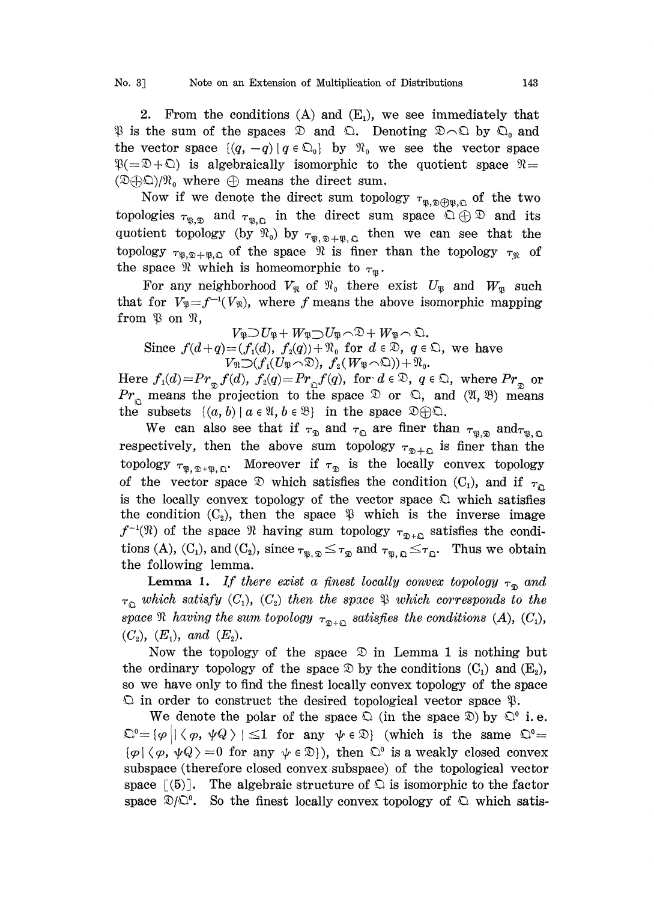2. From the conditions  $(A)$  and  $(E_1)$ , we see immediately that  $\mathcal{P}$  is the sum of the spaces  $\mathcal{D}$  and  $\mathcal{Q}$ . Denoting  $\mathcal{D} \cap \mathcal{Q}$  by  $\mathcal{Q}_0$  and the vector space  $\{(q,-q) \mid q \in \mathbb{Q}_{0}\}$  by  $\mathcal{R}_{0}$  we see the vector space  $\mathcal{R} = \mathcal{D} + \mathcal{D}$  is algebraically isomorphic to the quotient space  $\mathcal{R} =$  $(\mathfrak{D}\oplus\mathfrak{D})/\mathfrak{N}_0$  where  $\oplus$  means the direct sum.

Now if we denote the direct sum topology  $\tau_{\mathfrak{R},\mathfrak{D}\oplus\mathfrak{R},\mathfrak{Q}}$  of the two topologies  $\tau_{\mathfrak{P}, \mathfrak{D}}$  and  $\tau_{\mathfrak{P}, \mathfrak{Q}}$  in the direct sum space  $\Omega \oplus \mathfrak{D}$  and its quotient topology (by  $\mathfrak{N}_0$ ) by  $\tau_{\mathfrak{P},\mathfrak{D}+\mathfrak{P},\mathfrak{Q}}$  then we can see that the topology  $\tau_{\mathfrak{P},\mathfrak{D}+\mathfrak{P},\mathfrak{Q}}$  of the space  $\mathfrak{R}$  is finer than the topology  $\tau_{\mathfrak{R}}$  of the space  $\Re$  which is homeomorphic to  $\tau_{\Re}$ .

For any neighborhood  $V_{\mathfrak{N}}$  of  $\mathfrak{N}_0$  there exist  $U_{\mathfrak{P}}$  and  $W_{\mathfrak{P}}$  such that for  $V_{\mathfrak{P}}=f^{-1}(V_{\mathfrak{P}})$ , where f means the above isomorphic mapping from  $\mathfrak{P}$  on  $\mathfrak{R}$ , (*w*), where *f* means the above is<br>  $V_{\mathfrak{P}}U_{\mathfrak{P}}+W_{\mathfrak{P}}U_{\mathfrak{P}}\cap\mathfrak{D}+W_{\mathfrak{P}}\cap\mathfrak{D}.$ <br>  $V_{\mathfrak{P}}(f,d), f_{\mathfrak{p}}(g))+\mathfrak{N}$ , for  $d\in\mathfrak{D}, g\in\mathfrak{p}$ 

Since  $f(d+q)=(f_1(d), f_2(q))+\mathfrak{N}_0$  for  $d \in \mathfrak{D}$ ,  $q \in \mathfrak{Q}$ , we have  $V_{\mathfrak{N}}\mathop{\supset} (f_1(U_{\mathfrak{P}}\!\curvearrowright\!\mathfrak{D}),\ f_2(W_{\mathfrak{P}}\!\curvearrowright\!\mathfrak{Q})) + \mathfrak{N}_0.$ 

Here  $f_1(d)=Pr_{\mathcal{D}}f(d)$ ,  $f_2(q)=Pr_{\mathcal{D}}f(q)$ , for  $d \in \mathcal{D}$ ,  $q \in \mathcal{D}$ , where  $Pr_{\mathcal{D}}$  or  $Pr_{\mathcal{D}}$  means the projection to the space  $\mathcal{D}$  or  $\mathcal{D}$ , and  $(\mathcal{U}, \mathcal{B})$  means the subsets  $\{(a, b) | a \in \mathcal{U}, b \in \math$  $Pr_{\Omega}$  means the projection to the space  $\mathcal{D}$  or  $\Omega$ , and  $(\mathfrak{A}, \mathfrak{B})$  means the subsets  $\{(a, b) | a \in \mathcal{X}, b \in \mathcal{B}\}\$  in the space

We can also see that if  $\tau_{\mathfrak{D}}$  and  $\tau_{\mathfrak{Q}}$  are finer than  $\tau_{\mathfrak{P},\mathfrak{D}}$  and  $\tau_{\mathfrak{P},\mathfrak{Q}}$ respectively, then the above sum topology  $\tau_{\mathcal{D}+\mathcal{D}}$  is finer than the topology  $\tau_{\mathfrak{P}, \mathfrak{D}^+\mathfrak{P}, \mathfrak{Q}}$ . Moreover if  $\tau_{\mathfrak{D}}$  is the locally convex topology of the vector space  $\mathcal D$  which satisfies the condition (C<sub>1</sub>), and if  $\tau_{\mathcal D}$ is the locally convex topology of the vector space  $\mathcal{Q}$  which satisfies the condition  $(C_2)$ , then the space  $\mathcal{P}$  which is the inverse image  $f^{-1}(\mathfrak{N})$  of the space  $\mathfrak{N}$  having sum topology  $\tau_{\mathfrak{D}+\mathfrak{Q}}$  satisfies the conditions (A),  $(C_1)$ , and  $(C_2)$ , since  $\tau_{\mathfrak{B},\mathfrak{D}} \leq \tau_{\mathfrak{D}}$  and  $\tau_{\mathfrak{B},\mathfrak{Q}} \leq \tau_{\mathfrak{Q}}$ . Thus we obtain the following lemma.

**Lemma 1.** If there exist a finest locally convex topology  $\tau_{\mathcal{D}}$  and  $\tau_{\mathbb{Q}}$  which satisfy  $(C_1)$ ,  $(C_2)$  then the space  $\mathfrak{P}$  which corresponds to the space  $\mathfrak{R}$  having the sum topology  $\tau_{\mathfrak{D}+\mathfrak{Q}}$  satisfies the conditions  $(A)$ ,  $(C_1)$ ,  $(C_2)$ ,  $(E_1)$ , and  $(E_2)$ .  $(C_2)$ ,  $(E_1)$ , and  $(E_2)$ .

Now the topology of the space  $\mathcal D$  in Lemma 1 is nothing but the ordinary topology of the space  $\mathcal D$  by the conditions  $(C_1)$  and  $(E_2)$ , so we have only to find the finest locally convex topology of the space  $\Omega$  in order to construct the desired topological vector space  $\mathfrak{P}$ .

We denote the polar of the space  $\mathfrak{D}$  (in the space  $\mathfrak{D}$ ) by  $\mathfrak{D}^0$  i.e.  $\mathbb{Q}^0 = {\varphi \mid |\langle \varphi, \psi \varphi \rangle| \leq 1$  for any  $\psi \in \mathbb{D}$  (which is the same  $\mathbb{Q}^0 =$  $\{\varphi \mid \langle \varphi, \psi \rangle =0 \text{ for any } \psi \in \mathcal{D}\}\)$ , then  $\mathbb{C}^{\circ}$  is a weakly closed convex subspace (therefore closed convex subspace) of the topological vector space  $(5)$ . The algebraic structure of  $\Omega$  is isomorphic to the factor space  $\mathcal{D}/\mathbb{Q}^0$ . So the finest locally convex topology of  $\mathcal{D}$  which satis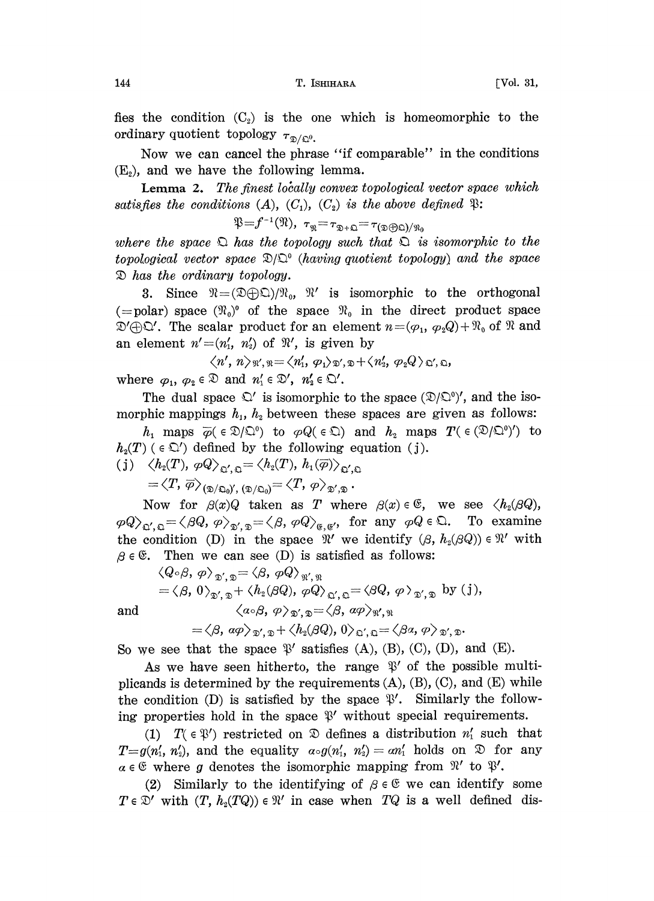fies the condition  $(C_2)$  is the one which is homeomorphic to the ordinary quotient topology  $\tau_{\mathcal{D}/\mathbb{Q}^0}$ .

Now we can cancel the phrase "if comparable" in the conditions  $(E<sub>o</sub>)$ , and we have the following lemma.

**Lemma 2.** The finest locally convex topological vector space which satisfies the conditions  $(A)$ ,  $(C_1)$ ,  $(C_2)$  is the above defined  $\mathfrak{P}$ :

 $\mathfrak{P}=f^{-1}(\mathfrak{N}), \tau_{\mathfrak{N}}=\tau_{\mathfrak{D}+\mathfrak{Q}}=\tau_{(\mathfrak{D}\oplus \mathfrak{Q})/\mathfrak{N}_0}$ 

where the space  $\mathfrak D$  has the topology such that  $\mathfrak D$  is isomorphic to the topological vector space  $\mathfrak{D}/\mathfrak{D}^{\circ}$  (having quotient topology) and the space has the ordinary topology.

3. Since  $\Re =(\mathfrak{D}\oplus\mathfrak{D})/\Re_0$ ,  $\Re'$  is isomorphic to the orthogonal (=polar) space  $(\mathfrak{R}_0)^\circ$  of the space  $\mathfrak{R}_0$  in the direct product space  $\mathfrak{D}' \oplus \mathfrak{Q}'$ . The scalar product for an element  $n = (\varphi_1, \varphi_2 Q) + \mathfrak{R}_0$  of  $\mathfrak{R}$  and an element  $n'=(n'_1, n'_2)$  of  $\mathfrak{R}'$ , is given by

$$
\langle n', n \rangle_{\mathfrak{N}',\mathfrak{N}} = \langle n'_1, \varphi_1 \rangle_{\mathfrak{D}',\mathfrak{D}} + \langle n'_2, \varphi_2 Q \rangle_{\mathfrak{D}',\mathfrak{D}}
$$

where  $\varphi_1, \varphi_2 \in \mathcal{D}$  and  $n'_1 \in \mathcal{D}'$ ,  $n'_2 \in \mathcal{D}'$ .

The dual space  $\mathcal{L}'$  is isomorphic to the space  $(\mathcal{D}/\mathcal{L}^0)'$ , and the isomorphic mappings  $h_1$ ,  $h_2$  between these spaces are given as follows:

 $h_1$  maps  $\overline{\varphi}(\in\mathfrak{D}/\mathfrak{D}^0)$  to  $\varphi Q(\in\mathfrak{D})$  and  $h_2$  maps  $T(\in(\mathfrak{D}/\mathfrak{D}^0)')$  to  $h_2(T)$  ( $\in \mathbb{Q}'$ ) defined by the following equation (j).

(j)  $\langle h_2(T), \varphi Q \rangle_{\Omega', \Omega} = \langle h_2(T), h_1(\overline{\varphi}) \rangle_{\Omega', \Omega}$ 

 $\langle T, \overline{\varphi} \rangle_{(\mathfrak{D}/\mathfrak{Q}_0)',\, (\mathfrak{D}/\mathfrak{Q}_0)} = \langle T, \varphi \rangle_{\mathfrak{D}', \mathfrak{D}}.$ 

Now for  $\beta(x)Q$  taken as T where  $\beta(x) \in \mathfrak{S}$ , we see  $\langle h_2(\beta Q),$  $\langle \varphi Q \rangle_{\mathfrak{Q}', \mathfrak{Q}} = \langle \beta Q, \varphi \rangle_{\mathfrak{Q}', \mathfrak{Q}} = \langle \beta, \varphi Q \rangle_{\mathfrak{g}, \mathfrak{g}'},$  for any  $\varphi Q \in \mathfrak{Q}$ . To examine the condition (D) in the space  $\mathcal{X}'$  we identify  $(\beta, h_2(\beta Q)) \in \mathcal{X}'$  with  $\beta \in \mathfrak{C}$ . Then we can see (D) is satisfied as follows:

$$
\langle Q \circ \beta, \varphi \rangle_{\mathfrak{D}', \mathfrak{D}} = \langle \beta, \varphi Q \rangle_{\mathfrak{N}', \mathfrak{N}} = \langle \beta, 0 \rangle_{\mathfrak{D}', \mathfrak{D}} + \langle h_2(\beta Q), \varphi Q \rangle_{\mathfrak{D}', \mathfrak{D}} = \langle \beta Q, \varphi \rangle_{\mathfrak{D}', \mathfrak{D}} \text{ by (j)},
$$
and 
$$
\langle \alpha \circ \beta, \varphi \rangle_{\mathfrak{D}', \mathfrak{D}} = \langle \beta, \varphi \rangle_{\mathfrak{N}', \mathfrak{N}}
$$

 $=\langle \beta, \ a\varphi \rangle_{\mathfrak{D}',\mathfrak{D}} + \langle h_{\mathfrak{A}}(\beta Q), 0 \rangle_{\mathfrak{Q}',\mathfrak{Q}} = \langle \beta \alpha, \varphi \rangle_{\mathfrak{D}',\mathfrak{D}}.$ 

So we see that the space  $\mathcal{P}'$  satisfies (A), (B), (C), (D), and (E).<br>As we have seen hitherto, the range  $\mathcal{P}'$  of the possible m As we have seen hitherto, the range  $\mathcal{V}'$  of the possible multiplicands is determined by the requirements  $(A)$ ,  $(B)$ ,  $(C)$ , and  $(E)$  while the condition (D) is satisfied by the space  $\mathcal{F}'$ . Similarly the following properties hold in the space  $\mathcal{V}'$  without special requirements.

(1)  $T(\in \mathcal{V})$  restricted on  $\mathcal{D}$  defines a distribution  $n'_1$  such that  $T=g(n'_1, n'_2)$ , and the equality  $a\circ g(n'_1, n'_2)=an'_1$  holds on  $\mathfrak D$  for any  $\alpha \in \mathfrak{E}$  where g denotes the isomorphic mapping from  $\mathfrak{R}'$  to  $\mathfrak{P}'$ .

(2) Similarly to the identifying of  $\beta \in \mathfrak{S}$  we can identify some  $T \in \mathcal{D}'$  with  $(T, h_2(TQ)) \in \mathcal{H}'$  in case when  $TQ$  is a well defined dis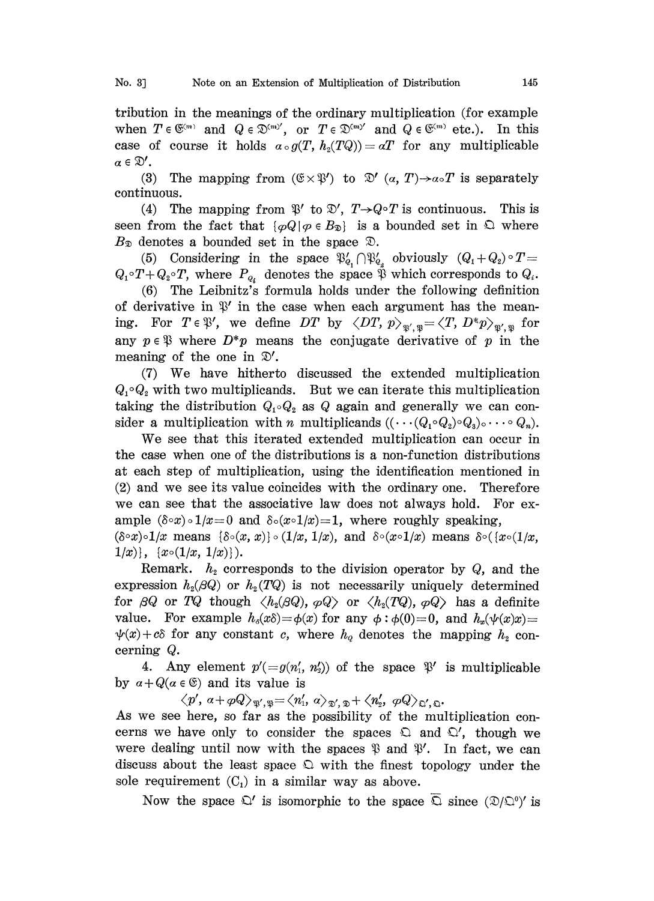tribution in the meanings of the ordinary multiplication (for example tribution in the meanings of the ordinary multiplication (for example when  $T \in \mathfrak{S}^{(m)}$  and  $Q \in \mathfrak{D}^{(m)'}$ , or  $T \in \mathfrak{D}^{(m)'}$  and  $Q \in \mathfrak{S}^{(m)}$  etc.). In this case of course it holds  $\alpha \circ g(T, h_2(TQ)) = \alpha T$  for a case of course it holds  $a \circ g(T, h_2(TQ)) = aT$  for any multiplicable  $\alpha\in\mathfrak{D}'$ .

(3) The mapping from  $(\mathfrak{C} \times \mathfrak{P}')$  to  $\mathfrak{D}'$   $(a, T) \rightarrow a \circ T$  is separately continuous.

(4) The mapping from  $\mathcal{B}'$  to  $\mathcal{D}'$ ,  $T\rightarrow Q\circ T$  is continuous. This is seen from the fact that  $\{\varphi \mathcal{Q} | \varphi \in B_{\mathfrak{D}}\}$  is a bounded set in  $\mathfrak{D}$  where  $B_{\mathcal{D}}$  denotes a bounded set in the space  $\mathcal{D}$ .

(5) Considering in the space  $\mathfrak{P}'_{q} \cap \mathfrak{P}'_{q}$  obviously  $(Q_1 + Q_2) \circ T =$  $Q_1 \circ T + Q_2 \circ T$ , where  $P_{q_i}$  denotes the space  $\tilde{\mathfrak{P}}$  which corresponds to  $Q_i$ .

(6) The Leibnitz's formula holds under the following definition of derivative in  $\mathfrak{P}'$  in the case when each argument has the meaning. For  $T \in \mathcal{V}'$ , we define DT by  $\langle DT, p \rangle_{\mathcal{V}', \mathcal{V}} = \langle T, D^*p \rangle_{\mathcal{V}', \mathcal{V}}$  for any  $p \in \mathcal{V}$  where  $D^*p$  means the conjugate derivative of p in the any  $p \in \mathcal{P}$  where  $D^*p$  means the conjugate derivative of p in the meaning of the one in  $\mathcal{D}'$ .

(7) We have hitherto discussed the extended multiplication  $Q_1 \circ Q_2$  with two multiplicands. But we can iterate this multiplication taking the distribution  $Q_1 \circ Q_2$  as Q again and generally we can consider a multiplication with n multiplicands  $((\cdots (Q_1 \circ Q_2) \circ Q_3) \circ \cdots \circ Q_n)$ .

We see that this iterated extended multiplication can occur in the case when one of the distributions is a non-function distributions at each step of multiplication, using the identification mentioned in (2) and we see its value coincides with the ordinary one. Therefore we can see hat the associative law does not always hold. For example  $(\delta \circ x) \circ 1/x = 0$  and  $\delta \circ (x \circ 1/x) = 1$ , where roughly speaking,

 $(\delta \circ x) \circ 1/x$  means  $\{\delta \circ (x, x)\}\circ (1/x, 1/x)$ , and  $\delta \circ (x \circ 1/x)$  means  $\delta \circ (x \circ (1/x,$  $1/x$ },  $\{x\circ(1/x, 1/x)\}\$ .

Remark.  $h_2$  corresponds to the division operator by  $Q$ , and the expression  $h_2(\beta Q)$  or  $h_2(TQ)$  is not necessarily uniquely determined for  $\beta Q$  or  $TQ$  though  $\langle h_2(\beta Q), \varphi Q \rangle$  or  $\langle h_2(TQ), \varphi Q \rangle$  has a definite value. For example  $h_{\delta}(x\delta) = \phi(x)$  for any  $\phi : \phi(0) = 0$ , and  $h_{\phi}(\psi(x)x) =$  $\psi(x)+c\delta$  for any constant c, where  $h_{\varrho}$  denotes the mapping  $h_{\varrho}$  concerning Q.

4. Any element  $p'(\equiv g(n'_1, n'_2))$  of the space  $\mathcal{P}'$  is multiplicable by  $\alpha + Q(\alpha \in \mathfrak{S})$  and its value is

 $\langle p',\, a+\varphi Q\rangle_{\mathfrak{A}',\mathfrak{B}} = \langle n'_1,\, a\rangle_{\mathfrak{D}',\mathfrak{D}} + \langle n'_2,\, \varphi Q\rangle_{\mathfrak{Q}',\mathfrak{Q}}.$ 

As we see here, so far as the possibility of the multiplication concerns we have only to consider the spaces  $\Omega$  and  $\Omega'$ , though we were dealing until now with the spaces  $\mathfrak{P}$  and  $\mathfrak{P}'$ . In fact, we can discuss about the least space  $\Omega$  with the finest topology under the sole requirement  $(C_1)$  in a similar way as above.

Now the space  $\Omega'$  is isomorphic to the space  $\overline{\Omega}$  since  $(\mathfrak{D}/\mathfrak{D})'$  is